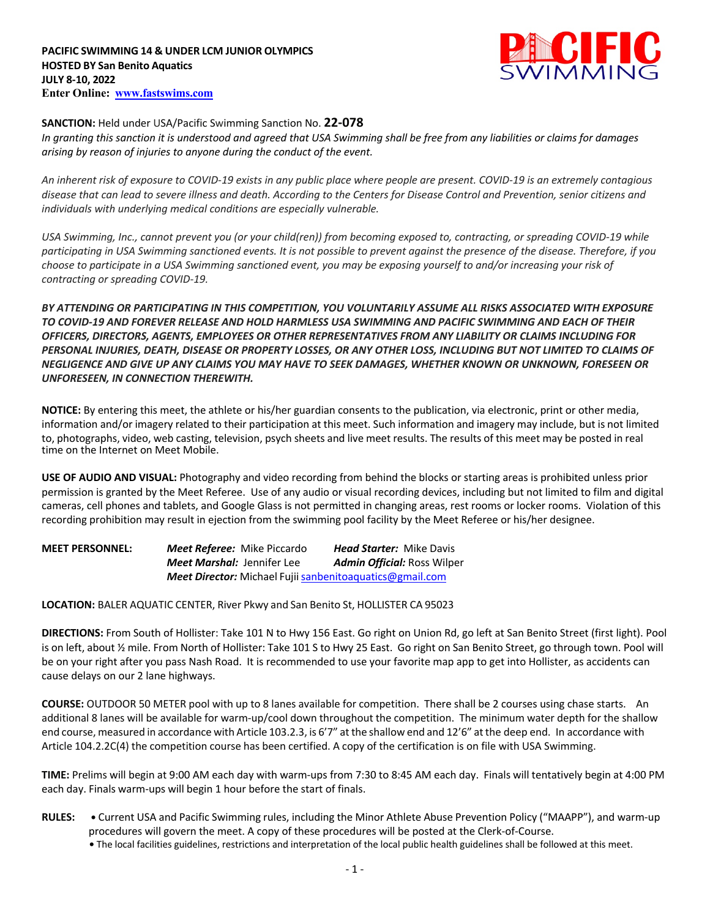

### **SANCTION:** Held under USA/Pacific Swimming Sanction No. **22-078**

*In granting this sanction it is understood and agreed that USA Swimming shall be free from any liabilities or claims for damages arising by reason of injuries to anyone during the conduct of the event.* 

*An inherent risk of exposure to COVID-19 exists in any public place where people are present. COVID-19 is an extremely contagious disease that can lead to severe illness and death. According to the Centers for Disease Control and Prevention, senior citizens and individuals with underlying medical conditions are especially vulnerable.*

*USA Swimming, Inc., cannot prevent you (or your child(ren)) from becoming exposed to, contracting, or spreading COVID-19 while participating in USA Swimming sanctioned events. It is not possible to prevent against the presence of the disease. Therefore, if you choose to participate in a USA Swimming sanctioned event, you may be exposing yourself to and/or increasing your risk of contracting or spreading COVID-19.*

*BY ATTENDING OR PARTICIPATING IN THIS COMPETITION, YOU VOLUNTARILY ASSUME ALL RISKS ASSOCIATED WITH EXPOSURE TO COVID-19 AND FOREVER RELEASE AND HOLD HARMLESS USA SWIMMING AND PACIFIC SWIMMING AND EACH OF THEIR OFFICERS, DIRECTORS, AGENTS, EMPLOYEES OR OTHER REPRESENTATIVES FROM ANY LIABILITY OR CLAIMS INCLUDING FOR PERSONAL INJURIES, DEATH, DISEASE OR PROPERTY LOSSES, OR ANY OTHER LOSS, INCLUDING BUT NOT LIMITED TO CLAIMS OF NEGLIGENCE AND GIVE UP ANY CLAIMS YOU MAY HAVE TO SEEK DAMAGES, WHETHER KNOWN OR UNKNOWN, FORESEEN OR UNFORESEEN, IN CONNECTION THEREWITH.*

**NOTICE:** By entering this meet, the athlete or his/her guardian consents to the publication, via electronic, print or other media, information and/or imagery related to their participation at this meet. Such information and imagery may include, but is not limited to, photographs, video, web casting, television, psych sheets and live meet results. The results of this meet may be posted in real time on the Internet on Meet Mobile.

**USE OF AUDIO AND VISUAL:** Photography and video recording from behind the blocks or starting areas is prohibited unless prior permission is granted by the Meet Referee. Use of any audio or visual recording devices, including but not limited to film and digital cameras, cell phones and tablets, and Google Glass is not permitted in changing areas, rest rooms or locker rooms. Violation of this recording prohibition may result in ejection from the swimming pool facility by the Meet Referee or his/her designee.

**MEET PERSONNEL:** *Meet Referee:* Mike Piccardo *Head Starter:* Mike Davis *Meet Marshal:* Jennifer Lee *Admin Official:* Ross Wilper *Meet Director:* Michael Fujii sanbenitoaquatics@gmail.com

**LOCATION:** BALER AQUATIC CENTER, River Pkwy and San Benito St, HOLLISTER CA 95023

**DIRECTIONS:** From South of Hollister: Take 101 N to Hwy 156 East. Go right on Union Rd, go left at San Benito Street (first light). Pool is on left, about ½ mile. From North of Hollister: Take 101 S to Hwy 25 East. Go right on San Benito Street, go through town. Pool will be on your right after you pass Nash Road. It is recommended to use your favorite map app to get into Hollister, as accidents can cause delays on our 2 lane highways.

**COURSE:** OUTDOOR 50 METER pool with up to 8 lanes available for competition. There shall be 2 courses using chase starts. An additional 8 lanes will be available for warm-up/cool down throughout the competition. The minimum water depth for the shallow end course, measured in accordance with Article 103.2.3, is 6'7" atthe shallow end and 12'6" atthe deep end. In accordance with Article 104.2.2C(4) the competition course has been certified. A copy of the certification is on file with USA Swimming.

**TIME:** Prelims will begin at 9:00 AM each day with warm-ups from 7:30 to 8:45 AM each day. Finals will tentatively begin at 4:00 PM each day. Finals warm-ups will begin 1 hour before the start of finals.

- **RULES:** Current USA and Pacific Swimming rules, including the Minor Athlete Abuse Prevention Policy ("MAAPP"), and warm-up procedures will govern the meet. A copy of these procedures will be posted at the Clerk-of-Course.
	- **•** The local facilities guidelines, restrictions and interpretation of the local public health guidelines shall be followed at this meet.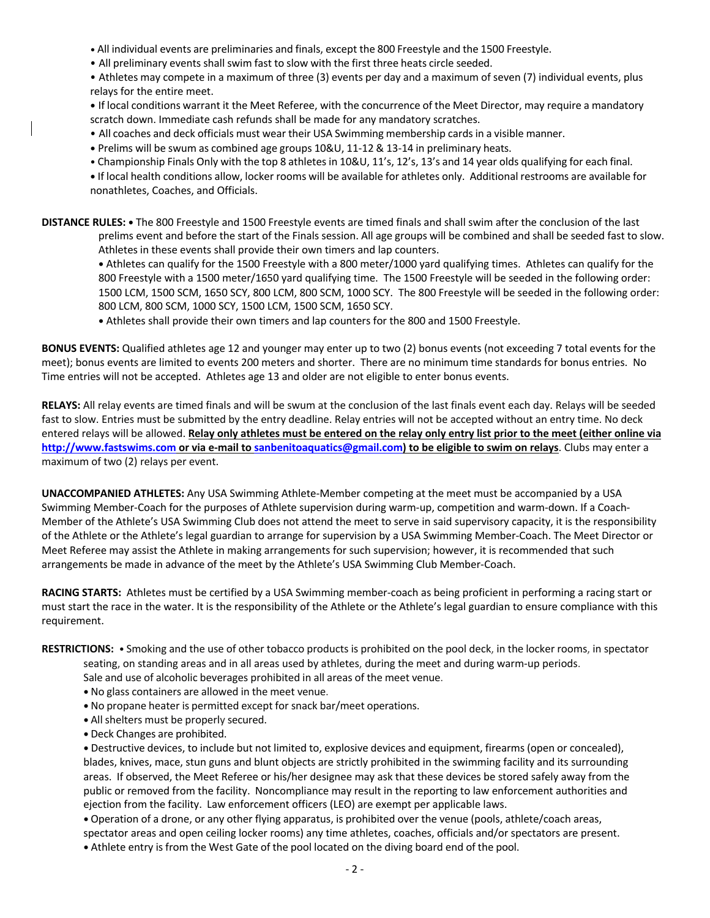**•** All individual events are preliminaries and finals, except the 800 Freestyle and the 1500 Freestyle.

• All preliminary events shall swim fast to slow with the first three heats circle seeded.

• Athletes may compete in a maximum of three (3) events per day and a maximum of seven (7) individual events, plus relays for the entire meet.

**•** If local conditions warrant it the Meet Referee, with the concurrence of the Meet Director, may require a mandatory scratch down. Immediate cash refunds shall be made for any mandatory scratches.

• All coaches and deck officials must wear their USA Swimming membership cards in a visible manner.

**•** Prelims will be swum as combined age groups 10&U, 11-12 & 13-14 in preliminary heats.

• Championship Finals Only with the top 8 athletes in 10&U, 11's, 12's, 13's and 14 year olds qualifying for each final.

**•** If local health conditions allow, locker rooms will be available for athletes only. Additional restrooms are available for nonathletes, Coaches, and Officials.

**DISTANCE RULES: •** The 800 Freestyle and 1500 Freestyle events are timed finals and shall swim after the conclusion of the last prelims event and before the start of the Finals session. All age groups will be combined and shall be seeded fast to slow. Athletes in these events shall provide their own timers and lap counters.

**•** Athletes can qualify for the 1500 Freestyle with a 800 meter/1000 yard qualifying times. Athletes can qualify for the 800 Freestyle with a 1500 meter/1650 yard qualifying time. The 1500 Freestyle will be seeded in the following order: 1500 LCM, 1500 SCM, 1650 SCY, 800 LCM, 800 SCM, 1000 SCY. The 800 Freestyle will be seeded in the following order: 800 LCM, 800 SCM, 1000 SCY, 1500 LCM, 1500 SCM, 1650 SCY.

**•** Athletes shall provide their own timers and lap counters for the 800 and 1500 Freestyle.

**BONUS EVENTS:** Qualified athletes age 12 and younger may enter up to two (2) bonus events (not exceeding 7 total events for the meet); bonus events are limited to events 200 meters and shorter. There are no minimum time standards for bonus entries. No Time entries will not be accepted. Athletes age 13 and older are not eligible to enter bonus events.

**RELAYS:** All relay events are timed finals and will be swum at the conclusion of the last finals event each day. Relays will be seeded fast to slow. Entries must be submitted by the entry deadline. Relay entries will not be accepted without an entry time. No deck entered relays will be allowed. **Relay only athletes must be entered on the relay only entry list prior to the meet (either online via http://www.fastswims.com or via e-mail to sanbenitoaquatics@gmail.com) to be eligible to swim on relays**. Clubs may enter a maximum of two (2) relays per event.

**UNACCOMPANIED ATHLETES:** Any USA Swimming Athlete-Member competing at the meet must be accompanied by a USA Swimming Member-Coach for the purposes of Athlete supervision during warm-up, competition and warm-down. If a Coach-Member of the Athlete's USA Swimming Club does not attend the meet to serve in said supervisory capacity, it is the responsibility of the Athlete or the Athlete's legal guardian to arrange for supervision by a USA Swimming Member-Coach. The Meet Director or Meet Referee may assist the Athlete in making arrangements for such supervision; however, it is recommended that such arrangements be made in advance of the meet by the Athlete's USA Swimming Club Member-Coach.

**RACING STARTS:** Athletes must be certified by a USA Swimming member-coach as being proficient in performing a racing start or must start the race in the water. It is the responsibility of the Athlete or the Athlete's legal guardian to ensure compliance with this requirement.

**RESTRICTIONS:** • Smoking and the use of other tobacco products is prohibited on the pool deck, in the locker rooms, in spectator

seating, on standing areas and in all areas used by athletes, during the meet and during warm-up periods.

Sale and use of alcoholic beverages prohibited in all areas of the meet venue.

- **•** No glass containers are allowed in the meet venue.
- **•** No propane heater is permitted except for snack bar/meet operations.
- **•** All shelters must be properly secured.
- **•** Deck Changes are prohibited.

**•** Destructive devices, to include but not limited to, explosive devices and equipment, firearms (open or concealed), blades, knives, mace, stun guns and blunt objects are strictly prohibited in the swimming facility and its surrounding areas. If observed, the Meet Referee or his/her designee may ask that these devices be stored safely away from the public or removed from the facility. Noncompliance may result in the reporting to law enforcement authorities and ejection from the facility. Law enforcement officers (LEO) are exempt per applicable laws.

**•** Operation of a drone, or any other flying apparatus, is prohibited over the venue (pools, athlete/coach areas, spectator areas and open ceiling locker rooms) any time athletes, coaches, officials and/or spectators are present.

**•** Athlete entry is from the West Gate of the pool located on the diving board end of the pool.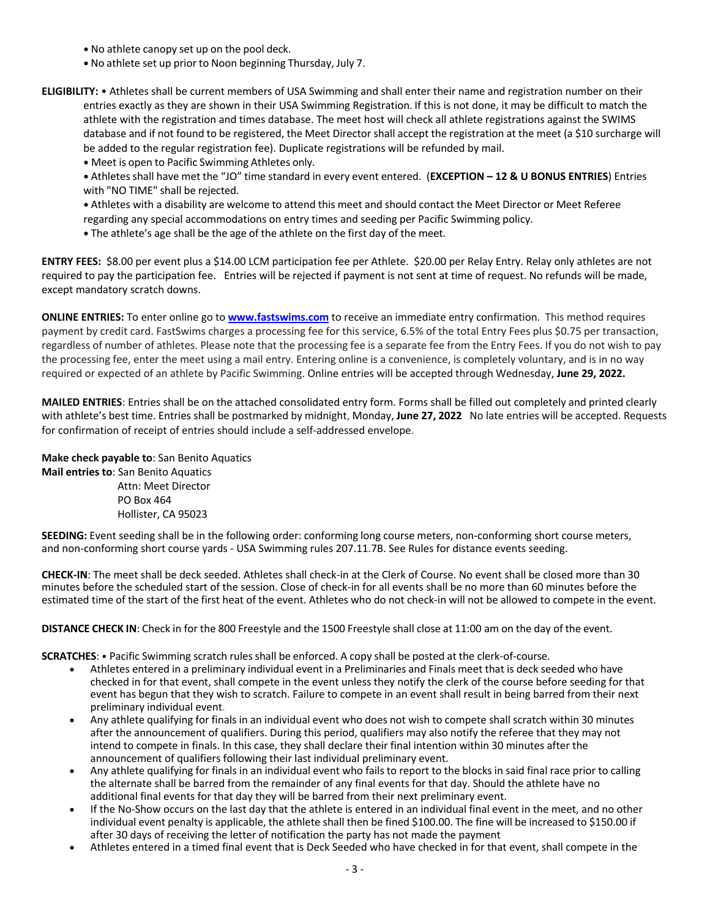- No athlete canopy set up on the pool deck.
- **•** No athlete set up prior to Noon beginning Thursday, July 7.

**ELIGIBILITY:** • Athletes shall be current members of USA Swimming and shall enter their name and registration number on their entries exactly as they are shown in their USA Swimming Registration. If this is not done, it may be difficult to match the athlete with the registration and times database. The meet host will check all athlete registrations against the SWIMS database and if not found to be registered, the Meet Director shall accept the registration at the meet (a \$10 surcharge will be added to the regular registration fee). Duplicate registrations will be refunded by mail.

**•** Meet is open to Pacific Swimming Athletes only.

**•** Athletesshall have met the "JO" time standard in every event entered. (**EXCEPTION – 12 & U BONUS ENTRIES**) Entries with "NO TIME" shall be rejected.

**•** Athletes with a disability are welcome to attend this meet and should contact the Meet Director or Meet Referee regarding any special accommodations on entry times and seeding per Pacific Swimming policy.

**•** The athlete's age shall be the age of the athlete on the first day of the meet.

**ENTRY FEES:** \$8.00 per event plus a \$14.00 LCM participation fee per Athlete. \$20.00 per Relay Entry. Relay only athletes are not required to pay the participation fee. Entries will be rejected if payment is not sent at time of request. No refunds will be made, except mandatory scratch downs.

**ONLINE ENTRIES:** To enter online go to **www.fastswims.com** to receive an immediate entry confirmation. This method requires payment by credit card. FastSwims charges a processing fee for this service, 6.5% of the total Entry Fees plus \$0.75 per transaction, regardless of number of athletes. Please note that the processing fee is a separate fee from the Entry Fees. If you do not wish to pay the processing fee, enter the meet using a mail entry. Entering online is a convenience, is completely voluntary, and is in no way required or expected of an athlete by Pacific Swimming. Online entries will be accepted through Wednesday, **June 29, 2022.**

**MAILED ENTRIES**: Entries shall be on the attached consolidated entry form. Forms shall be filled out completely and printed clearly with athlete's best time. Entries shall be postmarked by midnight, Monday, **June 27, 2022** No late entries will be accepted. Requests for confirmation of receipt of entries should include a self-addressed envelope.

**Make check payable to**: San Benito Aquatics

**Mail entries to**: San Benito Aquatics

 Attn: Meet Director PO Box 464 Hollister, CA 95023

**SEEDING:** Event seeding shall be in the following order: conforming long course meters, non-conforming short course meters, and non-conforming short course yards - USA Swimming rules 207.11.7B. See Rules for distance events seeding.

**CHECK-IN**: The meet shall be deck seeded. Athletes shall check-in at the Clerk of Course. No event shall be closed more than 30 minutes before the scheduled start of the session. Close of check-in for all events shall be no more than 60 minutes before the estimated time of the start of the first heat of the event. Athletes who do not check-in will not be allowed to compete in the event.

**DISTANCE CHECK IN**: Check in for the 800 Freestyle and the 1500 Freestyle shall close at 11:00 am on the day of the event.

**SCRATCHES: •** Pacific Swimming scratch rules shall be enforced. A copy shall be posted at the clerk-of-course.

- Athletes entered in a preliminary individual event in a Preliminaries and Finals meet that is deck seeded who have checked in for that event, shall compete in the event unless they notify the clerk of the course before seeding for that event has begun that they wish to scratch. Failure to compete in an event shall result in being barred from their next preliminary individual event.
- Any athlete qualifying for finals in an individual event who does not wish to compete shall scratch within 30 minutes after the announcement of qualifiers. During this period, qualifiers may also notify the referee that they may not intend to compete in finals. In this case, they shall declare their final intention within 30 minutes after the announcement of qualifiers following their last individual preliminary event.
- Any athlete qualifying for finals in an individual event who fails to report to the blocks in said final race prior to calling the alternate shall be barred from the remainder of any final events for that day. Should the athlete have no additional final events for that day they will be barred from their next preliminary event.
- If the No-Show occurs on the last day that the athlete is entered in an individual final event in the meet, and no other individual event penalty is applicable, the athlete shall then be fined \$100.00. The fine will be increased to \$150.00 if after 30 days of receiving the letter of notification the party has not made the payment
- Athletes entered in a timed final event that is Deck Seeded who have checked in for that event, shall compete in the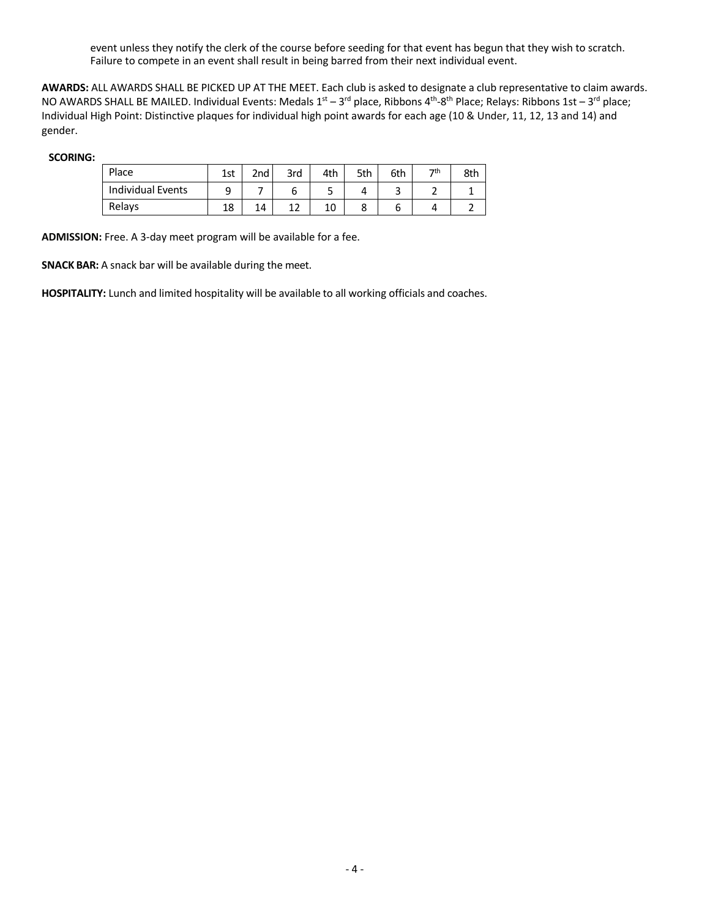event unless they notify the clerk of the course before seeding for that event has begun that they wish to scratch. Failure to compete in an event shall result in being barred from their next individual event.

**AWARDS:** ALL AWARDS SHALL BE PICKED UP AT THE MEET. Each club is asked to designate a club representative to claim awards. NO AWARDS SHALL BE MAILED. Individual Events: Medals  $1^{st}$  – 3<sup>rd</sup> place, Ribbons 4<sup>th</sup>-8<sup>th</sup> Place; Relays: Ribbons 1st – 3<sup>rd</sup> place; Individual High Point: Distinctive plaques for individual high point awards for each age (10 & Under, 11, 12, 13 and 14) and gender.

#### **SCORING:**

| Place                    | 1st | 2 <sub>nd</sub> | 3rd    | 4th | 5th | 6th | っせ | 8th |
|--------------------------|-----|-----------------|--------|-----|-----|-----|----|-----|
| <b>Individual Events</b> | a   |                 |        | ے   |     | ـ   |    |     |
| Relays                   | 18  | 14              | ∽<br>∸ | 10  |     |     |    |     |

**ADMISSION:** Free. A 3-day meet program will be available for a fee.

**SNACK BAR:** A snack bar will be available during the meet.

**HOSPITALITY:** Lunch and limited hospitality will be available to all working officials and coaches.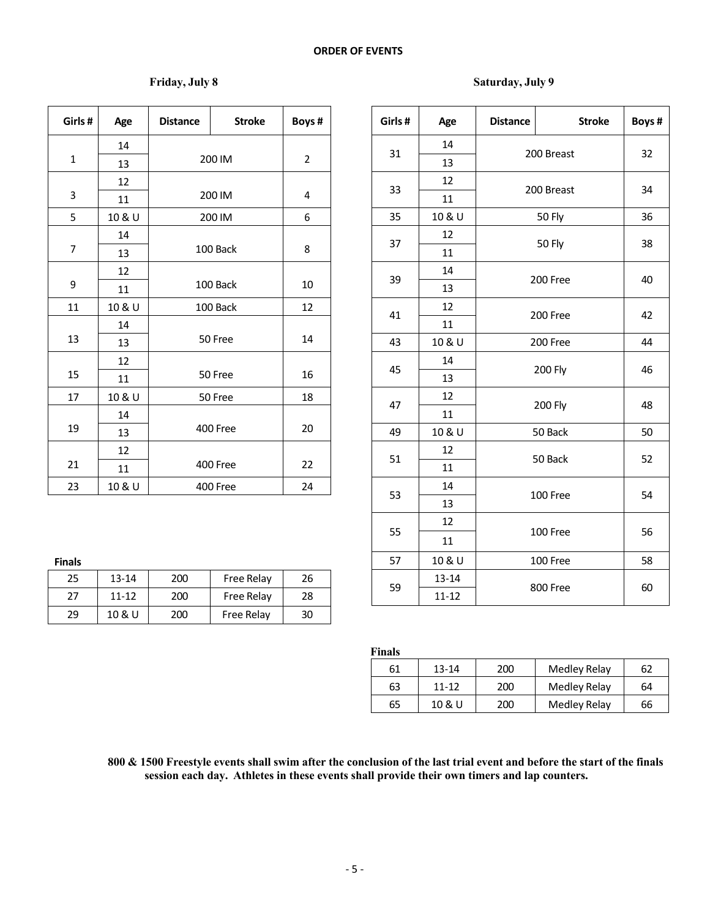# **Friday, July 8 Saturday, July 9**

| Age    | <b>Distance</b> | <b>Stroke</b> | Boys #                                                                                                                              |                                       | Girls# | Age                                                 |
|--------|-----------------|---------------|-------------------------------------------------------------------------------------------------------------------------------------|---------------------------------------|--------|-----------------------------------------------------|
| 14     |                 |               |                                                                                                                                     |                                       |        | 14                                                  |
| 13     |                 |               |                                                                                                                                     |                                       |        | 13                                                  |
| 12     |                 |               |                                                                                                                                     |                                       |        | 12                                                  |
| 11     |                 |               | 4                                                                                                                                   |                                       |        | 11                                                  |
| 10 & U |                 |               | 6                                                                                                                                   |                                       | 35     | 10 &                                                |
| 14     |                 |               |                                                                                                                                     |                                       |        | 12                                                  |
| 13     |                 |               |                                                                                                                                     |                                       |        | 11                                                  |
| 12     |                 |               |                                                                                                                                     |                                       |        | 14                                                  |
| 11     |                 |               | 10                                                                                                                                  |                                       |        | 13                                                  |
| 10 & U |                 |               | 12                                                                                                                                  |                                       |        | 12                                                  |
| 14     |                 |               |                                                                                                                                     |                                       |        | 11                                                  |
| 13     |                 |               |                                                                                                                                     |                                       | 43     | 10 &                                                |
| 12     |                 |               |                                                                                                                                     |                                       |        | 14                                                  |
| 11     |                 |               |                                                                                                                                     |                                       |        | 13                                                  |
| 10 & U |                 |               | 18                                                                                                                                  |                                       |        | 12                                                  |
| 14     |                 |               |                                                                                                                                     |                                       |        | 11                                                  |
| 13     |                 |               |                                                                                                                                     |                                       | 49     | 10 &                                                |
| 12     |                 |               |                                                                                                                                     |                                       |        | 12                                                  |
| 11     |                 |               | 22                                                                                                                                  |                                       |        | 11                                                  |
| 10 & U |                 |               | 24                                                                                                                                  |                                       |        | 14                                                  |
|        |                 |               | 200 IM<br>200 IM<br>200 IM<br>100 Back<br>100 Back<br>100 Back<br>50 Free<br>50 Free<br>50 Free<br>400 Free<br>400 Free<br>400 Free | $\overline{2}$<br>8<br>14<br>16<br>20 |        | 31<br>33<br>37<br>39<br>41<br>45<br>47<br>51<br>53. |

| ٠ |  |
|---|--|

| 25 | $13 - 14$ | 200 | Free Relay | 26 |    | $13 - 14$ |
|----|-----------|-----|------------|----|----|-----------|
| 27 | $11 - 12$ | 200 | Free Relay | 28 | 59 | $11 - 12$ |
| 29 | 10 & U    | 200 | Free Relay | 30 |    |           |

| Girls#         | Age       | <b>Distance</b> | <b>Stroke</b> | Boys#            | Girls# | Age       | <b>Distance</b> | <b>Stroke</b>                                                                                                                                                           | Boys # |
|----------------|-----------|-----------------|---------------|------------------|--------|-----------|-----------------|-------------------------------------------------------------------------------------------------------------------------------------------------------------------------|--------|
|                | 14        |                 |               |                  | 31     | 14        |                 |                                                                                                                                                                         | 32     |
| $\mathbf{1}$   | 13        |                 | 200 IM        | $\overline{2}$   |        | 13        |                 |                                                                                                                                                                         |        |
|                | 12        |                 |               |                  | 33     | 12        |                 |                                                                                                                                                                         | 34     |
| $\mathbf{3}$   | 11        |                 | 200 IM        | 4                |        | 11        |                 |                                                                                                                                                                         |        |
| 5              | 10 & U    |                 | 200 IM        | $\boldsymbol{6}$ | 35     | 10 & U    |                 |                                                                                                                                                                         | 36     |
|                | 14        |                 |               |                  | 37     | 12        |                 |                                                                                                                                                                         | 38     |
| $\overline{7}$ | 13        |                 | 100 Back      | 8                |        | $11\,$    |                 |                                                                                                                                                                         |        |
|                | 12        |                 |               |                  | 39     | 14        |                 |                                                                                                                                                                         | 40     |
| 9              | 11        |                 | 100 Back      | 10               |        | 13        |                 |                                                                                                                                                                         |        |
| 11             | 10 & U    |                 | 100 Back      | 12               | 41     | 12        |                 |                                                                                                                                                                         | 42     |
|                | 14        |                 |               |                  |        | 11        |                 | 200 Free                                                                                                                                                                |        |
| 13             | 13        | 50 Free         |               | 14               | 43     | 10 & U    |                 |                                                                                                                                                                         | 44     |
|                | 12        |                 |               |                  | 45     | 14        |                 |                                                                                                                                                                         | 46     |
| 15             | 11        |                 | 50 Free       | 16               |        | 13        |                 |                                                                                                                                                                         |        |
| 17             | 10 & U    |                 | 50 Free       | 18               | 47     | 12        |                 |                                                                                                                                                                         | 48     |
|                | 14        |                 |               |                  |        | 11        |                 |                                                                                                                                                                         |        |
| 19             | 13        |                 | 400 Free      | 20               | 49     | 10 & U    |                 |                                                                                                                                                                         | 50     |
|                | 12        |                 |               |                  | 51     | 12        |                 |                                                                                                                                                                         | 52     |
| 21             | 11        |                 | 400 Free      | 22               |        | 11        |                 |                                                                                                                                                                         |        |
| 23             | 10 & U    |                 | 400 Free      | 24               | 53     | 14        |                 |                                                                                                                                                                         | 54     |
|                |           |                 |               |                  |        | 13        |                 |                                                                                                                                                                         |        |
|                |           |                 |               |                  | 55     | 12        |                 |                                                                                                                                                                         | 56     |
|                |           |                 |               |                  |        | 11        |                 |                                                                                                                                                                         |        |
| <b>Finals</b>  |           |                 |               |                  | 57     | 10 & U    |                 |                                                                                                                                                                         | 58     |
| 25             | $13 - 14$ | 200             | Free Relay    | 26               |        | $13 - 14$ |                 |                                                                                                                                                                         |        |
| 27             | $11 - 12$ | 200             | Free Relay    | 28               | 59     | $11 - 12$ |                 | 200 Breast<br>200 Breast<br>50 Fly<br>50 Fly<br>200 Free<br>200 Free<br>200 Fly<br><b>200 Fly</b><br>50 Back<br>50 Back<br>100 Free<br>100 Free<br>100 Free<br>800 Free | 60     |

**Finals**

| .  |           |     |              |    |
|----|-----------|-----|--------------|----|
| 61 | 13-14     | 200 | Medley Relay | 62 |
| 63 | $11 - 12$ | 200 | Medley Relay | 64 |
| 65 | 10 & U    | 200 | Medley Relay | 66 |

800 & 1500 Freestyle events shall swim after the conclusion of the last trial event and before the start of the finals **session each day. Athletes in these events shall provide their own timers and lap counters.**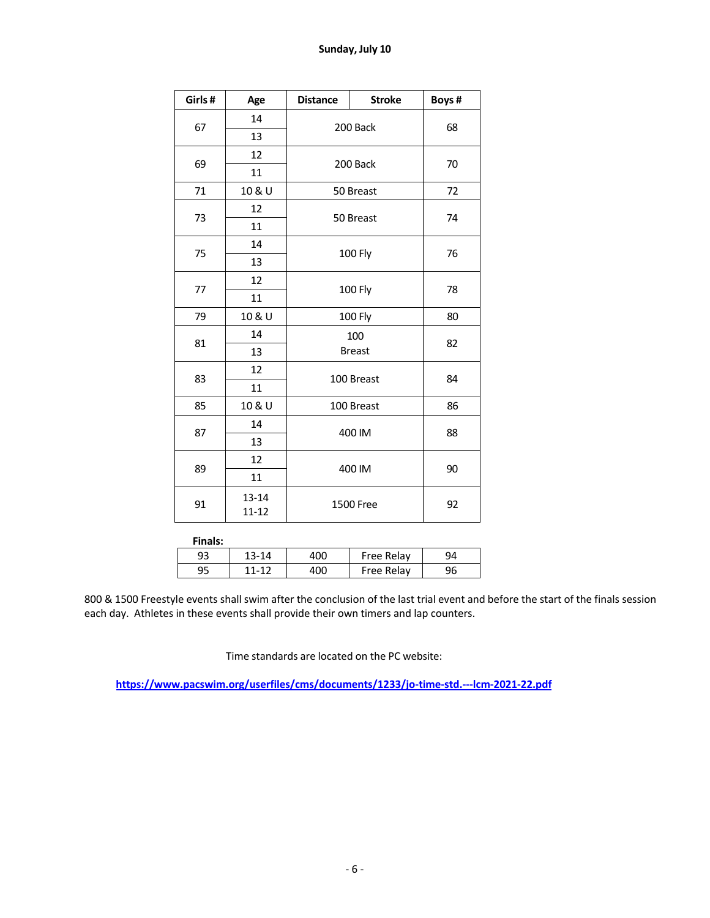| Girls# | Age                    | <b>Distance</b> | <b>Stroke</b>  | Boys# |  |
|--------|------------------------|-----------------|----------------|-------|--|
|        | 14                     |                 | 200 Back       | 68    |  |
| 67     | 13                     |                 |                |       |  |
|        | 12                     |                 |                |       |  |
| 69     | 11                     |                 | 200 Back       | 70    |  |
| 71     | 10 & U                 |                 | 50 Breast      | 72    |  |
|        | 12                     |                 | 50 Breast      | 74    |  |
| 73     | 11                     |                 |                |       |  |
|        | 14                     |                 |                |       |  |
| 75     | 13                     |                 | <b>100 Fly</b> | 76    |  |
|        | 12                     | <b>100 Fly</b>  |                | 78    |  |
| 77     | 11                     |                 |                |       |  |
| 79     | 10 & U                 | <b>100 Fly</b>  | 80             |       |  |
| 81     | 14                     | 100             | 82             |       |  |
|        | 13                     |                 | <b>Breast</b>  |       |  |
| 83     | 12                     |                 | 100 Breast     | 84    |  |
|        | 11                     |                 |                |       |  |
| 85     | 10 & U                 |                 | 100 Breast     | 86    |  |
|        | 14                     |                 |                |       |  |
| 87     | 13                     |                 | 400 IM         | 88    |  |
|        | 12                     |                 |                |       |  |
| 89     | 11                     |                 | 400 IM         | 90    |  |
| 91     | $13 - 14$<br>$11 - 12$ |                 | 1500 Free      | 92    |  |

| Finals: |           |     |            |    |
|---------|-----------|-----|------------|----|
| 93      | $13 - 14$ |     | Free Relay | ۹Δ |
| 95      | 11-12     | 400 | Free Relay | 96 |

 & 1500 Freestyle events shall swim after the conclusion of the last trial event and before the start of the finals session each day. Athletes in these events shall provide their own timers and lap counters.

Time standards are located on the PC website:

**https://www.pacswim.org/userfiles/cms/documents/1233/jo-time-std.---lcm-2021-22.pdf**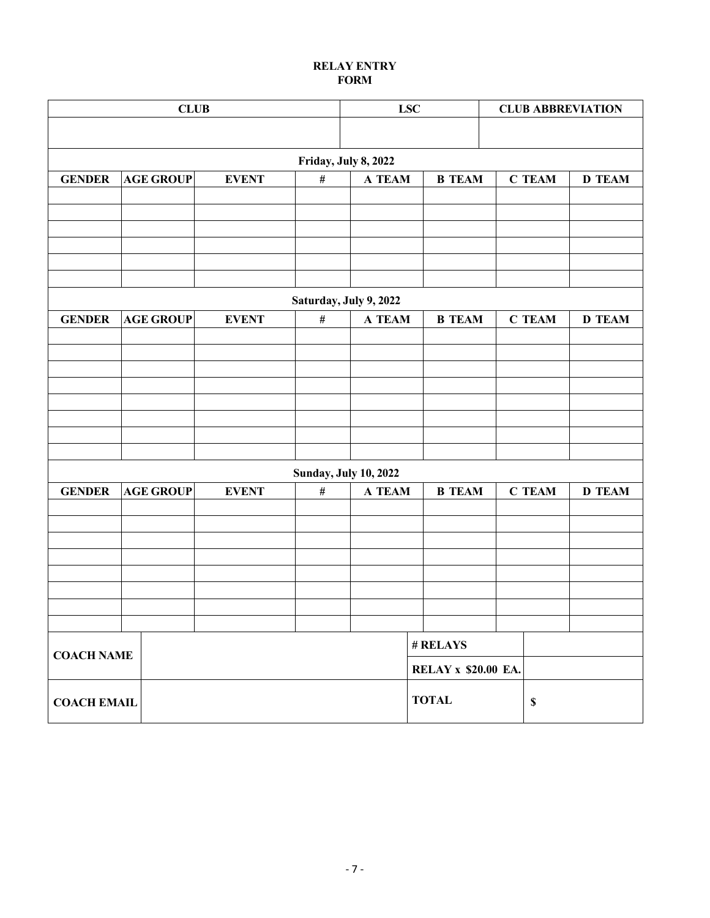# **RELAY ENTRY FORM**

| <b>CLUB</b>        |                  |                      | <b>LSC</b><br><b>CLUB ABBREVIATION</b> |                            |               |               |
|--------------------|------------------|----------------------|----------------------------------------|----------------------------|---------------|---------------|
|                    |                  |                      |                                        |                            |               |               |
|                    |                  |                      | Friday, July 8, 2022                   |                            |               |               |
| <b>GENDER</b>      | <b>AGE GROUP</b> | <b>EVENT</b><br>$\#$ | <b>A TEAM</b>                          | <b>B</b> TEAM              | <b>C TEAM</b> | <b>D TEAM</b> |
|                    |                  |                      |                                        |                            |               |               |
|                    |                  |                      |                                        |                            |               |               |
|                    |                  |                      |                                        |                            |               |               |
|                    |                  |                      |                                        |                            |               |               |
|                    |                  |                      |                                        |                            |               |               |
|                    |                  |                      | Saturday, July 9, 2022                 |                            |               |               |
| <b>GENDER</b>      | <b>AGE GROUP</b> | <b>EVENT</b><br>$\#$ | A TEAM                                 | <b>B</b> TEAM              | <b>C TEAM</b> | <b>D</b> TEAM |
|                    |                  |                      |                                        |                            |               |               |
|                    |                  |                      |                                        |                            |               |               |
|                    |                  |                      |                                        |                            |               |               |
|                    |                  |                      |                                        |                            |               |               |
|                    |                  |                      |                                        |                            |               |               |
|                    |                  |                      |                                        |                            |               |               |
|                    |                  |                      |                                        |                            |               |               |
|                    |                  |                      | <b>Sunday, July 10, 2022</b>           |                            |               |               |
| <b>GENDER</b>      | <b>AGE GROUP</b> | $\#$<br><b>EVENT</b> | A TEAM                                 | <b>B TEAM</b>              | <b>C TEAM</b> | <b>D TEAM</b> |
|                    |                  |                      |                                        |                            |               |               |
|                    |                  |                      |                                        |                            |               |               |
|                    |                  |                      |                                        |                            |               |               |
|                    |                  |                      |                                        |                            |               |               |
|                    |                  |                      |                                        |                            |               |               |
|                    |                  |                      |                                        |                            |               |               |
|                    |                  |                      |                                        |                            |               |               |
|                    |                  |                      |                                        | # RELAYS                   |               |               |
| <b>COACH NAME</b>  |                  |                      |                                        |                            |               |               |
|                    |                  |                      |                                        | <b>RELAY x \$20.00 EA.</b> |               |               |
| <b>COACH EMAIL</b> |                  |                      |                                        | <b>TOTAL</b>               | $\mathbb S$   |               |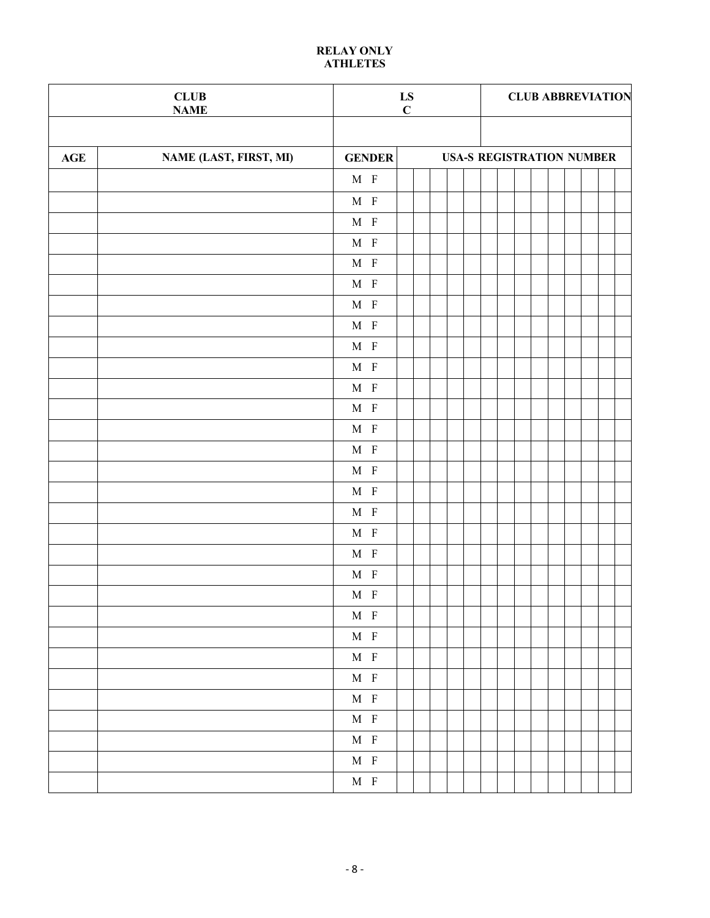## **RELAY ONLY ATHLETES**

|                | ${\bf CLUB}$<br><b>NAME</b> |                                | $\mathbf{L}\mathbf{S}$ C | <b>CLUB ABBREVIATION</b>         |  |  |  |  |
|----------------|-----------------------------|--------------------------------|--------------------------|----------------------------------|--|--|--|--|
|                |                             |                                |                          |                                  |  |  |  |  |
| $\mathbf{AGE}$ | NAME (LAST, FIRST, MI)      | <b>GENDER</b>                  |                          | <b>USA-S REGISTRATION NUMBER</b> |  |  |  |  |
|                |                             | $\mathbf{M}$ $\;$ F            |                          |                                  |  |  |  |  |
|                |                             | $\mathbf{M}$ $\;$ F            |                          |                                  |  |  |  |  |
|                |                             | $\mathbf{M}$ $\;$ F            |                          |                                  |  |  |  |  |
|                |                             | $\mathbf{M}$ $\;$ F            |                          |                                  |  |  |  |  |
|                |                             | $\mathbf{M}$ $\;$ F            |                          |                                  |  |  |  |  |
|                |                             | $\mathbf{M}$ $\;$ F            |                          |                                  |  |  |  |  |
|                |                             | $\mathbf{M}$ $\;$ F            |                          |                                  |  |  |  |  |
|                |                             | $\mathbf{M}$ $\,$ $\mathbf{F}$ |                          |                                  |  |  |  |  |
|                |                             | $\mathbf{M}$ $\;$ F            |                          |                                  |  |  |  |  |
|                |                             | $\mathbf{M}$ $\,$ $\mathbf{F}$ |                          |                                  |  |  |  |  |
|                |                             | $\mathbf{M}$ $\;$ F            |                          |                                  |  |  |  |  |
|                |                             | $\mathbf{M}$ $\;$ F            |                          |                                  |  |  |  |  |
|                |                             | $\mathbf{M}$ $\;$ F            |                          |                                  |  |  |  |  |
|                |                             | $\mathbf{M}$ $\;$ F            |                          |                                  |  |  |  |  |
|                |                             | $\mathbf{M}$ $\;$ F            |                          |                                  |  |  |  |  |
|                |                             | $\mathbf{M}$ $\;$ F            |                          |                                  |  |  |  |  |
|                |                             | $\mathbf{M}$ $\;$ F            |                          |                                  |  |  |  |  |
|                |                             | $\mathbf{M}$ $\;$ F            |                          |                                  |  |  |  |  |
|                |                             | $\mathbf{M}$ $\;$ F            |                          |                                  |  |  |  |  |
|                |                             | $\mathbf{M}$ $\;$ F            |                          |                                  |  |  |  |  |
|                |                             | $\mathbf{M}$ $\;$ F            |                          |                                  |  |  |  |  |
|                |                             | $\mathbf{M}$ $\;$ F            |                          |                                  |  |  |  |  |
|                |                             | $\mathbf{M}$ $\;$ F            |                          |                                  |  |  |  |  |
|                |                             |                                |                          |                                  |  |  |  |  |
|                |                             | $\mathbf{M}$ $\;$ F            |                          |                                  |  |  |  |  |
|                |                             | $\mathbf{M}$ $\,$ $\mathbf{F}$ |                          |                                  |  |  |  |  |
|                |                             | $\mathbf{M}$ $\;$ F            |                          |                                  |  |  |  |  |
|                |                             | $\mathbf{M}$ $\;$ F            |                          |                                  |  |  |  |  |
|                |                             | $\mathbf{M}$ $\;$ F            |                          |                                  |  |  |  |  |
|                |                             | $\mathbf{M}$ $\;$ F            |                          |                                  |  |  |  |  |